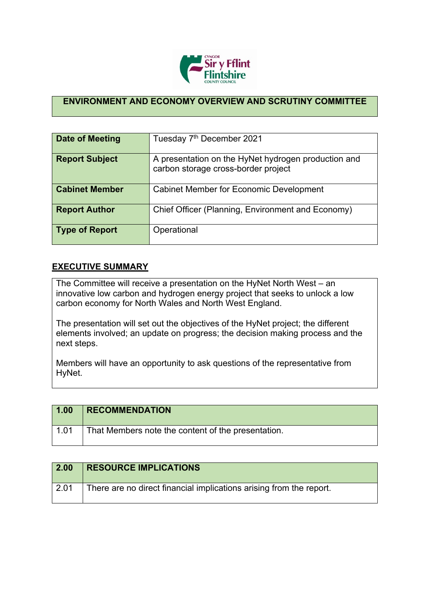

## **ENVIRONMENT AND ECONOMY OVERVIEW AND SCRUTINY COMMITTEE**

| Date of Meeting       | Tuesday 7 <sup>th</sup> December 2021                                                      |
|-----------------------|--------------------------------------------------------------------------------------------|
| <b>Report Subject</b> | A presentation on the HyNet hydrogen production and<br>carbon storage cross-border project |
| <b>Cabinet Member</b> | <b>Cabinet Member for Economic Development</b>                                             |
| <b>Report Author</b>  | Chief Officer (Planning, Environment and Economy)                                          |
| <b>Type of Report</b> | Operational                                                                                |

## **EXECUTIVE SUMMARY**

The Committee will receive a presentation on the HyNet North West – an innovative low carbon and hydrogen energy project that seeks to unlock a low carbon economy for North Wales and North West England.

The presentation will set out the objectives of the HyNet project; the different elements involved; an update on progress; the decision making process and the next steps.

Members will have an opportunity to ask questions of the representative from HyNet.

| 1.00 | <b>RECOMMENDATION</b>                              |
|------|----------------------------------------------------|
| 1.01 | That Members note the content of the presentation. |

| 2.00         | <b>RESOURCE IMPLICATIONS</b>                                        |
|--------------|---------------------------------------------------------------------|
| $\vert$ 2.01 | There are no direct financial implications arising from the report. |